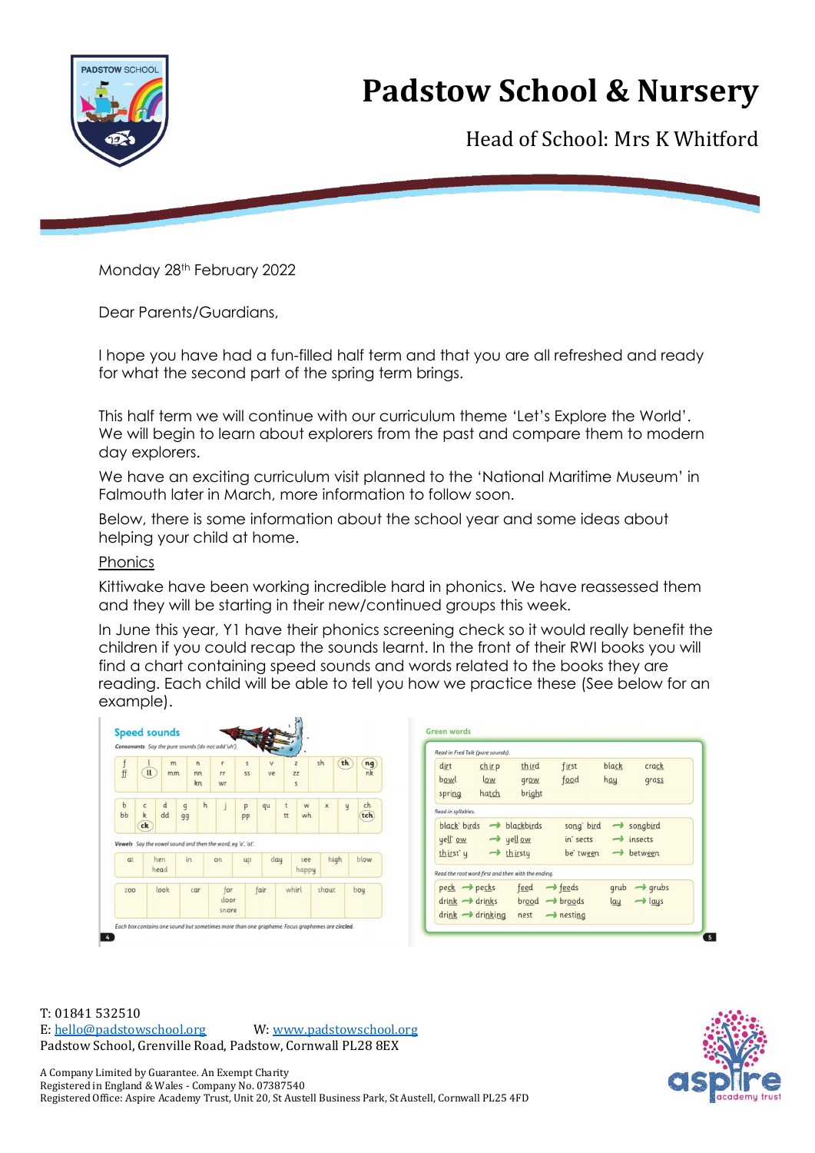

Head of School: Mrs K Whitford

Monday 28<sup>th</sup> February 2022

Dear Parents/Guardians,

I hope you have had a fun-filled half term and that you are all refreshed and ready for what the second part of the spring term brings.

This half term we will continue with our curriculum theme 'Let's Explore the World'. We will begin to learn about explorers from the past and compare them to modern day explorers.

We have an exciting curriculum visit planned to the 'National Maritime Museum' in Falmouth later in March, more information to follow soon.

Below, there is some information about the school year and some ideas about helping your child at home.

### Phonics

Kittiwake have been working incredible hard in phonics. We have reassessed them and they will be starting in their new/continued groups this week.

In June this year, Y1 have their phonics screening check so it would really benefit the children if you could recap the sounds learnt. In the front of their RWI books you will find a chart containing speed sounds and words related to the books they are reading. Each child will be able to tell you how we practice these (See below for an example).



| dirt                               | $ch$ ir p                    | third                                              | first                         | black         | crack                  |
|------------------------------------|------------------------------|----------------------------------------------------|-------------------------------|---------------|------------------------|
| bowl                               | low                          | qrow                                               | food                          | hay           | grass                  |
| spring                             | hatch                        | bright                                             |                               |               |                        |
| Read in syllables.                 |                              |                                                    |                               |               |                        |
| black birds                        |                              | $\rightarrow$ blackbirds                           | song bird                     |               | $\rightarrow$ songbird |
| yell ow                            |                              | $\rightarrow$ yell ow                              | in sects                      |               | $\rightarrow$ insects  |
| thirst y                           | →                            | th irsty                                           | be tween                      | $\rightarrow$ | between                |
|                                    |                              | Read the root word first and then with the ending. |                               |               |                        |
| $peck$ $\rightarrow$ pecks<br>feed |                              |                                                    | $\rightarrow$ feeds           | grub          | $\rightarrow$ grubs    |
| $drink \rightarrow drinks$         |                              |                                                    | $b$ rood $\rightarrow$ broods | <u>lay</u>    | $\rightarrow$ lays     |
|                                    | $drink \rightarrow drinking$ | nest                                               | $\rightarrow$ nesting         |               |                        |

T: 01841 532510 E: [hello@padstowschool.org](mailto:hello@padstowschool.org) W[: www.padstowschool.org](http://www.padstowschool.org/) Padstow School, Grenville Road, Padstow, Cornwall PL28 8EX

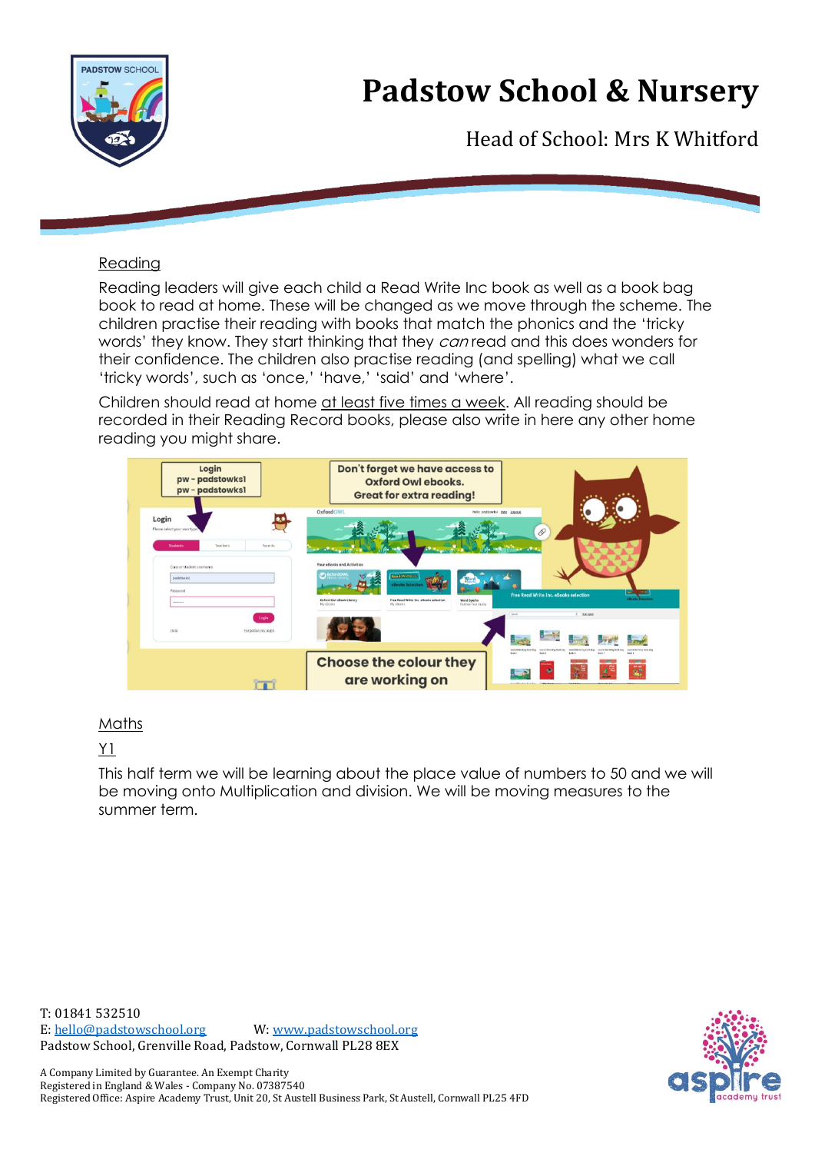

Head of School: Mrs K Whitford

### Reading

Reading leaders will give each child a Read Write Inc book as well as a book bag book to read at home. These will be changed as we move through the scheme. The children practise their reading with books that match the phonics and the 'tricky words' they know. They start thinking that they can read and this does wonders for their confidence. The children also practise reading (and spelling) what we call 'tricky words', such as 'once,' 'have,' 'said' and 'where'.

Children should read at home at least five times a week. All reading should be recorded in their Reading Record books, please also write in here any other home reading you might share.



### Maths

### Y1

This half term we will be learning about the place value of numbers to 50 and we will be moving onto Multiplication and division. We will be moving measures to the summer term.

T: 01841 532510 E: [hello@padstowschool.org](mailto:hello@padstowschool.org) W[: www.padstowschool.org](http://www.padstowschool.org/) Padstow School, Grenville Road, Padstow, Cornwall PL28 8EX

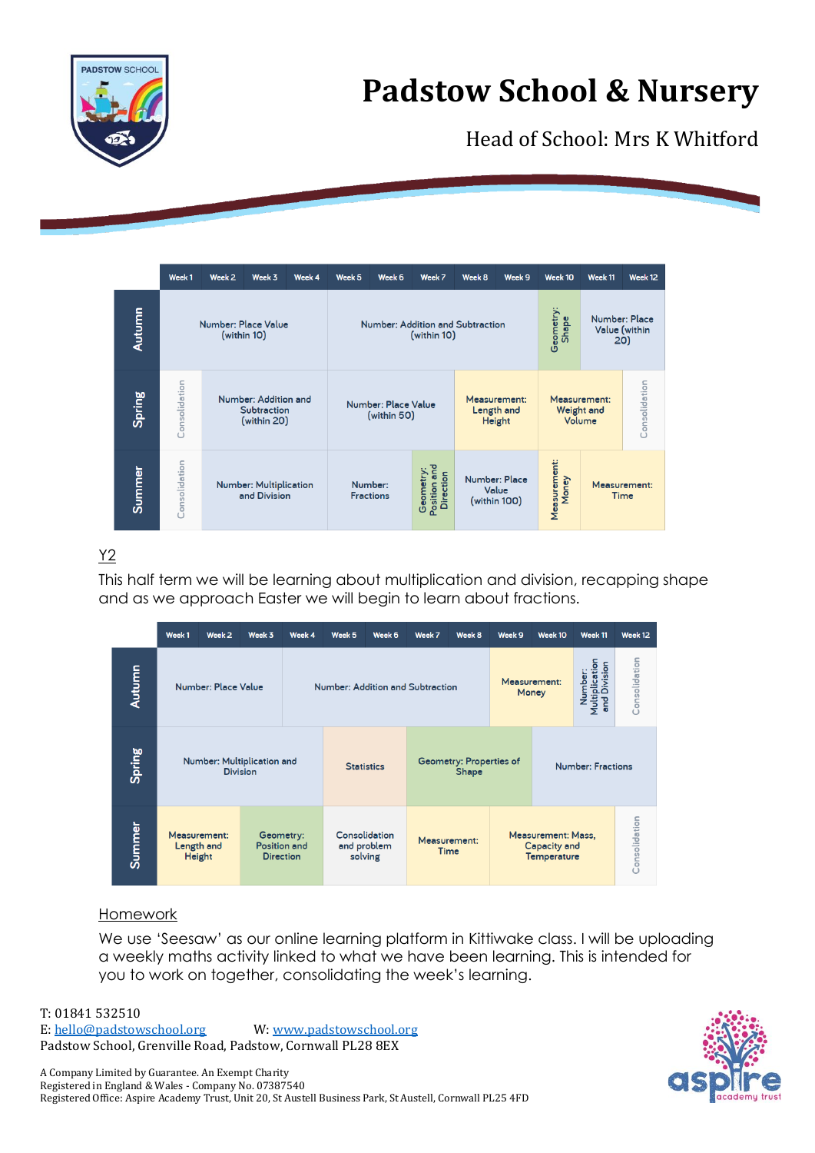

Head of School: Mrs K Whitford

|               | Week <sub>1</sub>                  | Week <sub>2</sub>                                  | Week 3                                        | Week 4 | Week 5                                          | Week 6                      | Week 7                                        | Week 8                                 | Week 9 | Week 10                              | Week 11                               | Week 12       |
|---------------|------------------------------------|----------------------------------------------------|-----------------------------------------------|--------|-------------------------------------------------|-----------------------------|-----------------------------------------------|----------------------------------------|--------|--------------------------------------|---------------------------------------|---------------|
| <b>Autumn</b> | Number: Place Value<br>(within 10) |                                                    |                                               |        | Number: Addition and Subtraction<br>(within 10) |                             |                                               |                                        |        |                                      | Number: Place<br>Value (within<br>20) |               |
| Spring        | Consolidation                      | Number: Addition and<br>Subtraction<br>(within 20) |                                               |        | Number: Place Value<br>(within 50)              |                             |                                               | Measurement:<br>Length and<br>Height   |        | Measurement:<br>Weight and<br>Volume |                                       | Consolidation |
| Summer        | Consolidation                      |                                                    | <b>Number: Multiplication</b><br>and Division |        |                                                 | Number:<br><b>Fractions</b> | Position and<br>Geometry:<br><b>Direction</b> | Number: Place<br>Value<br>(within 100) |        | Measurement:<br>Money                | Measurement:<br>Time                  |               |

## Y2

This half term we will be learning about multiplication and division, recapping shape and as we approach Easter we will begin to learn about fractions.

|        | Week 1<br>Week 2                              | Week 3                           | Week 4                                               | Week 5                           | Week 6                                                          | Week 7                                                                                     | Week 8 | Week 9                                                   | Week 10       | Week 11 | Week 12 |
|--------|-----------------------------------------------|----------------------------------|------------------------------------------------------|----------------------------------|-----------------------------------------------------------------|--------------------------------------------------------------------------------------------|--------|----------------------------------------------------------|---------------|---------|---------|
| Autumn | Number: Place Value                           | Number: Addition and Subtraction |                                                      |                                  |                                                                 | Consolidation<br><b>Multiplication</b><br>and Division<br>Number:<br>Measurement:<br>Money |        |                                                          |               |         |         |
| Spring | Number: Multiplication and<br><b>Division</b> |                                  | <b>Statistics</b>                                    | Geometry: Properties of<br>Shape |                                                                 |                                                                                            |        | <b>Number: Fractions</b>                                 |               |         |         |
| Summer | Measurement:<br>Length and<br>Height          |                                  | Geometry:<br><b>Position and</b><br><b>Direction</b> |                                  | Consolidation<br>Measurement:<br>and problem<br>Time<br>solving |                                                                                            |        | Measurement: Mass,<br><b>Capacity and</b><br>Temperature | Consolidation |         |         |

## Homework

We use 'Seesaw' as our online learning platform in Kittiwake class. I will be uploading a weekly maths activity linked to what we have been learning. This is intended for you to work on together, consolidating the week's learning.

T: 01841 532510 E: [hello@padstowschool.org](mailto:hello@padstowschool.org) W[: www.padstowschool.org](http://www.padstowschool.org/) Padstow School, Grenville Road, Padstow, Cornwall PL28 8EX



A Company Limited by Guarantee. An Exempt Charity Registered in England & Wales - Company No. 07387540 Registered Office: Aspire Academy Trust, Unit 20, St Austell Business Park, St Austell, Cornwall PL25 4FD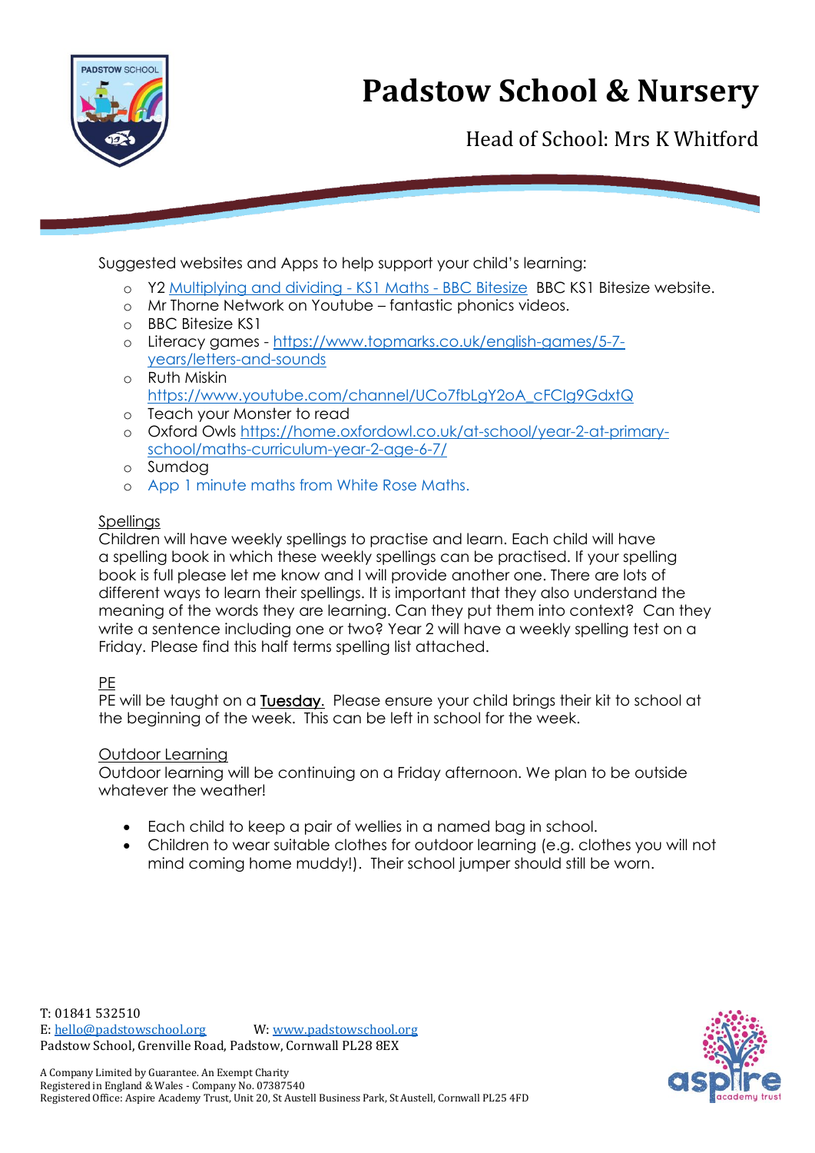

Head of School: Mrs K Whitford

Suggested websites and Apps to help support your child's learning:

- o Y2 [Multiplying and dividing -](https://www.bbc.co.uk/bitesize/topics/zqbg87h?scrlybrkr=c1389c77) KS1 Maths BBC Bitesize BBC KS1 Bitesize website.
- o Mr Thorne Network on Youtube fantastic phonics videos.
- o BBC Bitesize KS1
- o Literacy games [https://www.topmarks.co.uk/english-games/5-7](https://www.topmarks.co.uk/english-games/5-7-years/letters-and-sounds) [years/letters-and-sounds](https://www.topmarks.co.uk/english-games/5-7-years/letters-and-sounds)
- o Ruth Miskin [https://www.youtube.com/channel/UCo7fbLgY2oA\\_cFCIg9GdxtQ](https://www.youtube.com/channel/UCo7fbLgY2oA_cFCIg9GdxtQ)
- o Teach your Monster to read
- o Oxford Owls [https://home.oxfordowl.co.uk/at-school/year-2-at-primary](https://home.oxfordowl.co.uk/at-school/year-2-at-primary-school/maths-curriculum-year-2-age-6-7/)[school/maths-curriculum-year-2-age-6-7/](https://home.oxfordowl.co.uk/at-school/year-2-at-primary-school/maths-curriculum-year-2-age-6-7/)
- o Sumdog
- o App 1 minute maths from White Rose Maths.

### **Spellings**

Children will have weekly spellings to practise and learn. Each child will have a spelling book in which these weekly spellings can be practised. If your spelling book is full please let me know and I will provide another one. There are lots of different ways to learn their spellings. It is important that they also understand the meaning of the words they are learning. Can they put them into context? Can they write a sentence including one or two? Year 2 will have a weekly spelling test on a Friday. Please find this half terms spelling list attached.

### PE

T: 01841 532510

PE will be taught on a **Tuesday**. Please ensure your child brings their kit to school at the beginning of the week. This can be left in school for the week.

### Outdoor Learning

Outdoor learning will be continuing on a Friday afternoon. We plan to be outside whatever the weather!

- Each child to keep a pair of wellies in a named bag in school.
- Children to wear suitable clothes for outdoor learning (e.g. clothes you will not mind coming home muddy!). Their school jumper should still be worn.